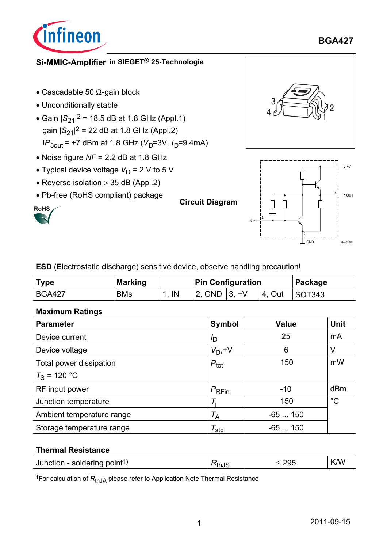

## **BGA427**

# **Si-MMIC-Amplifier in SIEGET 25-Technologie**

- Cascadable 50 Ω-gain block
- Unconditionally stable
- Gain  $|S_{21}|^2$  = 18.5 dB at 1.8 GHz (Appl.1) gain |*S*21| 2 = 22 dB at 1.8 GHz (Appl.2)  $IP_{3out}$  = +7 dBm at 1.8 GHz ( $V_D$ =3V,  $I_D$ =9.4mA)
- Noise figure *NF* = 2.2 dB at 1.8 GHz
- Typical device voltage  $V_D$  = 2 V to 5 V
- Reverse isolation > 35 dB (Appl.2)
- Pb-free (RoHS compliant) package



**Circuit Diagram**





**ESD** (**E**lectro**s**tatic **d**ischarge) sensitive device, observe handling precaution!

| <b>Type</b>   | <b>Marking</b> | <b>Pin Configuration</b> |                    |  |        | ⊩Package      |
|---------------|----------------|--------------------------|--------------------|--|--------|---------------|
| <b>BGA427</b> | <b>BMs</b>     | 1, IN                    | $ 2,$ GND $ 3, +V$ |  | 4. Out | <b>SOT343</b> |

#### **Maximum Ratings**

| <b>Parameter</b>          | <b>Symbol</b>         | <b>Value</b> | <b>Unit</b> |
|---------------------------|-----------------------|--------------|-------------|
| Device current            | ים <sup>ן</sup>       | 25           | mA          |
| Device voltage            | $V_D$ , + V           | 6            | V           |
| Total power dissipation   | $P_{\text{tot}}$      | 150          | mW          |
| $T_S = 120 °C$            |                       |              |             |
| RF input power            | $P_{\text{RFin}}$     | $-10$        | dBm         |
| Junction temperature      |                       | 150          | $^{\circ}C$ |
| Ambient temperature range | $\tau_\mathsf{A}$     | $-65150$     |             |
| Storage temperature range | $\tau_{\textsf{stq}}$ | $-65150$     |             |

#### **Thermal Resistance**

| K/W<br>Junction - soldering point <sup>1)</sup><br>295<br>TthJS |
|-----------------------------------------------------------------|
|-----------------------------------------------------------------|

<sup>1</sup>For calculation of R<sub>thJA</sub> please refer to Application Note Thermal Resistance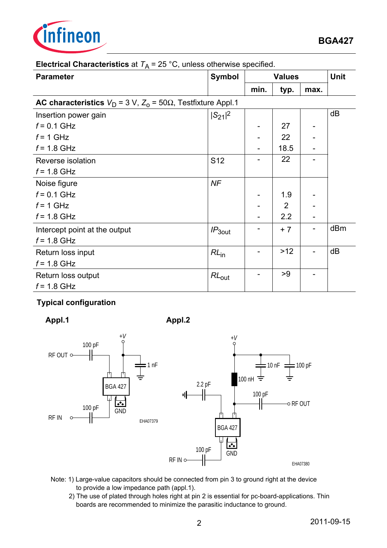

| $\mathbf{\mathsf{m}}$<br><b>Parameter</b>                              | Symbol             |      | <b>Values</b> |      |     |
|------------------------------------------------------------------------|--------------------|------|---------------|------|-----|
|                                                                        |                    | min. | typ.          | max. |     |
| AC characteristics $V_D = 3 V$ , $Z_0 = 50\Omega$ , Testfixture Appl.1 |                    |      |               |      |     |
| Insertion power gain                                                   | $ S_{21} ^2$       |      |               |      | dB  |
| $f = 0.1$ GHz                                                          |                    |      | 27            |      |     |
| $f = 1$ GHz                                                            |                    |      | 22            |      |     |
| $f = 1.8$ GHz                                                          |                    |      | 18.5          |      |     |
| Reverse isolation                                                      | S <sub>12</sub>    |      | 22            |      |     |
| $f = 1.8$ GHz                                                          |                    |      |               |      |     |
| Noise figure                                                           | NF                 |      |               |      |     |
| $f = 0.1$ GHz                                                          |                    |      | 1.9           |      |     |
| $f = 1$ GHz                                                            |                    |      | 2             |      |     |
| $f = 1.8$ GHz                                                          |                    |      | 2.2           |      |     |
| Intercept point at the output                                          | IP <sub>3out</sub> |      | $+7$          |      | dBm |
| $f = 1.8$ GHz                                                          |                    |      |               |      |     |
| Return loss input                                                      | $RL_{in}$          |      | $>12$         |      | dB  |
| $f = 1.8$ GHz                                                          |                    |      |               |      |     |
| Return loss output                                                     | $RL_{\rm out}$     |      | >9            |      |     |
| $f = 1.8$ GHz                                                          |                    |      |               |      |     |

### **Electrical Characteristics** at  $T_A = 25 \degree C$ , unless otherwise specified.

### **Typical configuration**

**Appl.1 Appl.2**



- Note: 1) Large-value capacitors should be connected from pin 3 to ground right at the device to provide a low impedance path (appl.1).
	- 2) The use of plated through holes right at pin 2 is essential for pc-board-applications. Thin boards are recommended to minimize the parasitic inductance to ground.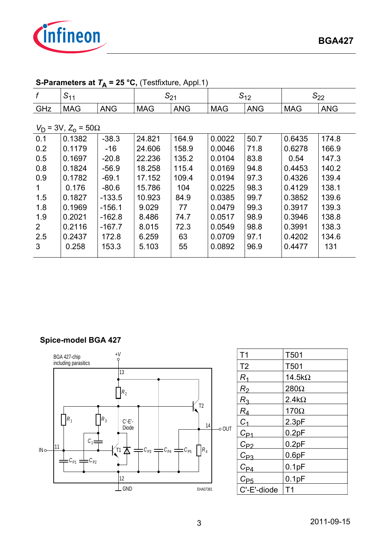

|                |                               | ~          | $\sim$     | . .        |            |            |            |            |
|----------------|-------------------------------|------------|------------|------------|------------|------------|------------|------------|
| $\mathbf f$    | $S_{11}$                      |            | $S_{21}$   |            | $S_{12}$   |            |            | $S_{22}$   |
| GHz            | <b>MAG</b>                    | <b>ANG</b> | <b>MAG</b> | <b>ANG</b> | <b>MAG</b> | <b>ANG</b> | <b>MAG</b> | <b>ANG</b> |
|                |                               |            |            |            |            |            |            |            |
|                | $V_D = 3V$ , $Z_0 = 50\Omega$ |            |            |            |            |            |            |            |
| 0.1            | 0.1382                        | $-38.3$    | 24.821     | 164.9      | 0.0022     | 50.7       | 0.6435     | 174.8      |
| 0.2            | 0.1179                        | $-16$      | 24.606     | 158.9      | 0.0046     | 71.8       | 0.6278     | 166.9      |
| 0.5            | 0.1697                        | $-20.8$    | 22.236     | 135.2      | 0.0104     | 83.8       | 0.54       | 147.3      |
| 0.8            | 0.1824                        | $-56.9$    | 18.258     | 115.4      | 0.0169     | 94.8       | 0.4453     | 140.2      |
| 0.9            | 0.1782                        | $-69.1$    | 17.152     | 109.4      | 0.0194     | 97.3       | 0.4326     | 139.4      |
| 1              | 0.176                         | $-80.6$    | 15.786     | 104        | 0.0225     | 98.3       | 0.4129     | 138.1      |
| 1.5            | 0.1827                        | $-133.5$   | 10.923     | 84.9       | 0.0385     | 99.7       | 0.3852     | 139.6      |
| 1.8            | 0.1969                        | $-156.1$   | 9.029      | 77         | 0.0479     | 99.3       | 0.3917     | 139.3      |
| 1.9            | 0.2021                        | $-162.8$   | 8.486      | 74.7       | 0.0517     | 98.9       | 0.3946     | 138.8      |
| $\overline{2}$ | 0.2116                        | $-167.7$   | 8.015      | 72.3       | 0.0549     | 98.8       | 0.3991     | 138.3      |
| 2.5            | 0.2437                        | 172.8      | 6.259      | 63         | 0.0709     | 97.1       | 0.4202     | 134.6      |
| 3              | 0.258                         | 153.3      | 5.103      | 55         | 0.0892     | 96.9       | 0.4477     | 131        |
|                |                               |            |            |            |            |            |            |            |

**S-Parameters at**  $T_A = 25$  **°C, (Testfixture, Appl.1)** 

# **Spice-model BGA 427**



| T <sub>1</sub> | T501          |
|----------------|---------------|
| T <sub>2</sub> | T501          |
| $R_1$          | $14.5k\Omega$ |
| R <sub>2</sub> | 280Ω          |
| $R_3$          | $2.4k\Omega$  |
| $R_4$          | $170\Omega$   |
| C <sub>1</sub> | 2.3pF         |
| $C_{P1}$       | 0.2pF         |
| $C_{P2}$       | 0.2pF         |
| $C_{P3}$       | 0.6pF         |
| $C_{P4}$       | 0.1pF         |
| $C_{\rm PS}$   | 0.1pF         |
| C'-E'-diode    | Τ1            |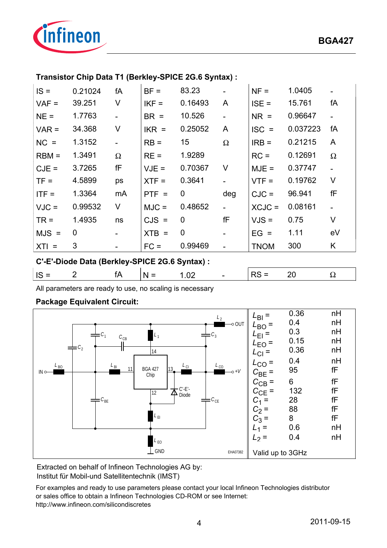



| $IS =$  | 0.21024 | fA                  | $BF =$  | 83.23          |                          | $NF =$      | 1.0405   |                            |
|---------|---------|---------------------|---------|----------------|--------------------------|-------------|----------|----------------------------|
| $VAF =$ | 39.251  | V                   | $IKF =$ | 0.16493        | $\mathsf{A}$             | $ISE =$     | 15.761   | fA                         |
| $NE =$  | 1.7763  | $\overline{a}$      | $BR =$  | 10.526         | $\overline{\phantom{a}}$ | $NR =$      | 0.96647  | $\mathbf{L}^{\mathcal{A}}$ |
| $VAR =$ | 34.368  | V                   | $IKR =$ | 0.25052        | $\mathsf{A}$             | $ISC =$     | 0.037223 | fA                         |
| $NC =$  | 1.3152  | $\equiv$            | $RB =$  | 15             | $\Omega$                 | $IRB =$     | 0.21215  | $\mathsf{A}$               |
| $RBM =$ | 1.3491  | $\Omega$            | $RE =$  | 1.9289         |                          | $RC =$      | 0.12691  | $\Omega$                   |
| $CJE =$ | 3.7265  | fF                  | $VJE =$ | 0.70367        | V                        | $MJE =$     | 0.37747  | $\mathbf{L}$               |
| $TF =$  | 4.5899  | ps                  | $XTF =$ | 0.3641         | $\omega_{\rm{eff}}$      | $VTF =$     | 0.19762  | $\vee$                     |
| $ITF =$ | 1.3364  | m <sub>A</sub>      | $PTF =$ | $\mathbf 0$    | deg                      | $CJC =$     | 96.941   | fF                         |
| $VJC =$ | 0.99532 | V.                  | $MJC =$ | 0.48652        | $\omega_{\rm{max}}$      | $XCJC =$    | 0.08161  | $\overline{a}$             |
| $TR =$  | 1.4935  | ns                  | $CJS =$ | $\mathbf 0$    | fF                       | $VJS =$     | 0.75     | V                          |
| $MJS =$ | 0       | $\omega_{\rm{max}}$ | $XTB =$ | $\overline{0}$ | $\sim$                   | $EG =$      | 1.11     | eV                         |
| $XTI =$ | 3       |                     | $FC =$  | 0.99469        | $\overline{\phantom{0}}$ | <b>TNOM</b> | 300      | K                          |
|         |         |                     |         |                |                          |             |          |                            |

#### **Transistor Chip Data T1 (Berkley-SPICE 2G.6 Syntax) :**

**C'-E'-Diode Data (Berkley-SPICE 2G.6 Syntax) :**

|--|

All parameters are ready to use, no scaling is necessary

#### **Package Equivalent Circuit:**

| $L_{BO}$<br>$IN \nightharpoonup$ | C,<br>$C_{\mathbb{C}\mathbb{B}}$<br>$C_2$<br>$L_{\text{BI}}$<br>11<br>$C_{\mathsf{BE}}$ | $L_1$<br>14<br>$L_{\text{Cl}}$<br><b>BGA 427</b><br>13<br>Chip<br>$C$ '-E'-<br>$\overline{\mathbb{A}}$<br>12<br>Diode<br>$L_{El}$<br>$L_{EO}$ | L <sub>2</sub><br>$C_3$<br>$L_{\text{CO}}$<br>$C_{CE}$ | $-0$ OUT<br>$V + \circ$ | $L_{\text{BI}}$ =<br>$L_{\text{BO}} =$<br>$L_{E1}$ =<br>$L_{EO}$ =<br>$L_{\mathrm{Cl}}$ =<br>$L_{CO} =$<br>$C_{BE}$ =<br>$C_{CB}$ =<br>$C_{CE}$ =<br>$C_1 =$<br>$C_2$ =<br>C <sub>3</sub> =<br>$=$<br>$L_2 =$ | 0.36<br>0.4<br>0.3<br>0.15<br>0.36<br>0.4<br>95<br>$6\phantom{1}$<br>132<br>28<br>88<br>8<br>0.6<br>0.4 | nH<br>nH<br>nH<br>nH<br>nH<br>nH<br>$\mathsf{f}\mathsf{F}$<br>$\mathsf{f}\mathsf{F}$<br>$\mathsf{f}\mathsf{F}$<br>fF<br>$\mathsf{f}\mathsf{F}$<br>$\mathsf{f}\mathsf{F}$<br>nH<br>nH |
|----------------------------------|-----------------------------------------------------------------------------------------|-----------------------------------------------------------------------------------------------------------------------------------------------|--------------------------------------------------------|-------------------------|---------------------------------------------------------------------------------------------------------------------------------------------------------------------------------------------------------------|---------------------------------------------------------------------------------------------------------|--------------------------------------------------------------------------------------------------------------------------------------------------------------------------------------|
|                                  |                                                                                         | GND                                                                                                                                           |                                                        | EHA07382                | Valid up to 3GHz                                                                                                                                                                                              |                                                                                                         |                                                                                                                                                                                      |

Extracted on behalf of Infineon Technologies AG by: Institut für Mobil-und Satellitentechnik (IMST)

For examples and ready to use parameters please contact your local Infineon Technologies distributor or sales office to obtain a Infineon Technologies CD-ROM or see Internet: http://www.infineon.com/silicondiscretes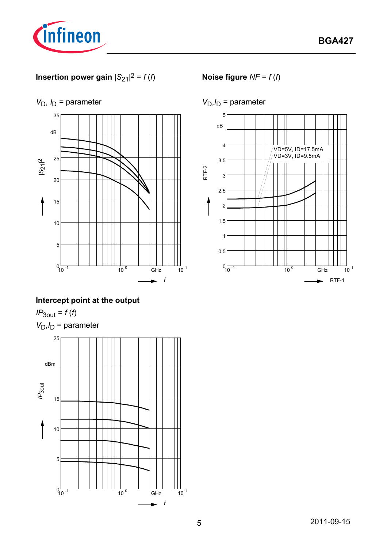

## Insertion power gain  $|S_{21}|^2 = f(f)$



*V*<sub>D</sub>, *I*<sub>D</sub> = parameter

### **Intercept point at the output**

*IP*3out = *f* (*f*) *V*<sub>D</sub>, *I*<sub>D</sub> = parameter



**Noise figure** *NF* = *f* (*f*)

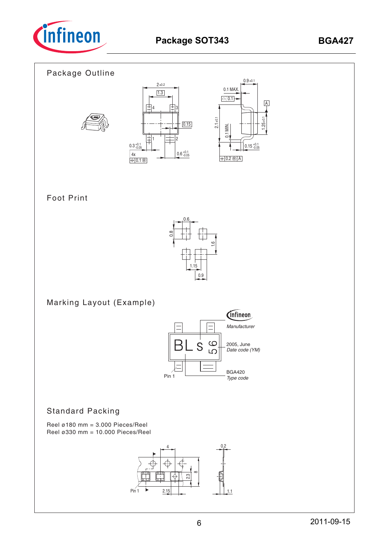